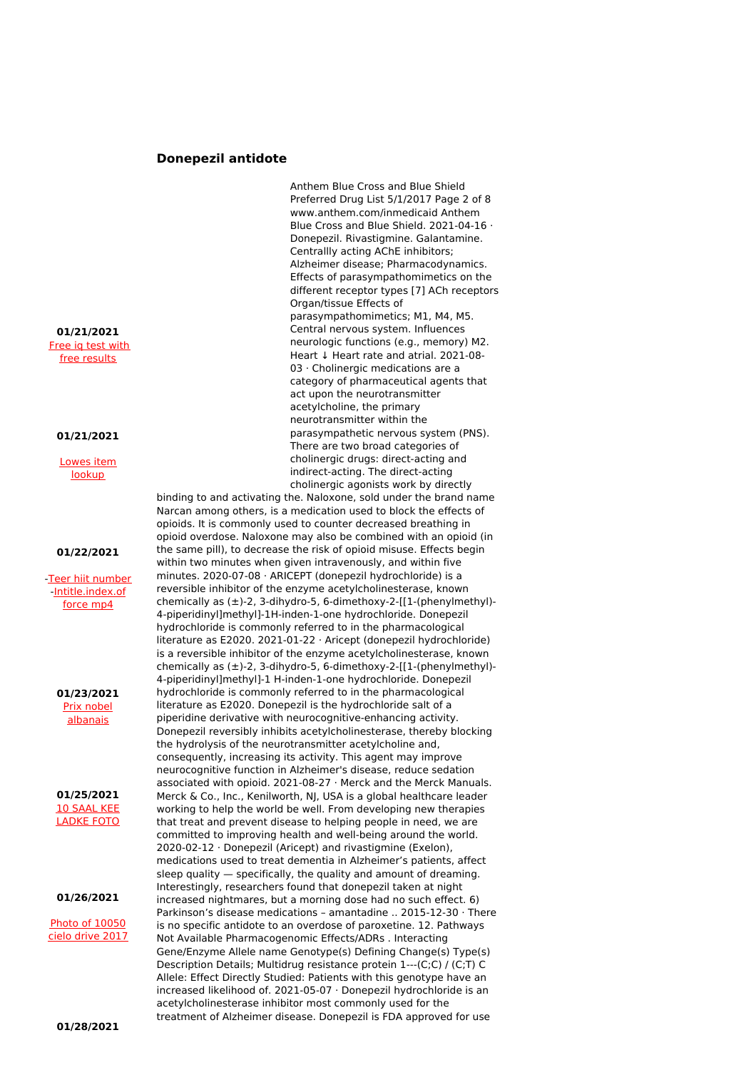# **Donepezil antidote**

Anthem Blue Cross and Blue Shield Preferred Drug List 5/1/2017 Page 2 of 8 www.anthem.com/inmedicaid Anthem Blue Cross and Blue Shield. 2021-04-16 · Donepezil. Rivastigmine. Galantamine. Centrallly acting AChE inhibitors; Alzheimer disease; Pharmacodynamics. Effects of parasympathomimetics on the different receptor types [7] ACh receptors Organ/tissue Effects of parasympathomimetics; M1, M4, M5. Central nervous system. Influences neurologic functions (e.g., memory) M2. Heart ↓ Heart rate and atrial. 2021-08- 03 · Cholinergic medications are a category of pharmaceutical agents that act upon the neurotransmitter acetylcholine, the primary neurotransmitter within the parasympathetic nervous system (PNS). There are two broad categories of cholinergic drugs: direct-acting and indirect-acting. The direct-acting cholinergic agonists work by directly

binding to and activating the. Naloxone, sold under the brand name Narcan among others, is a medication used to block the effects of opioids. It is commonly used to counter decreased breathing in opioid overdose. Naloxone may also be combined with an opioid (in the same pill), to decrease the risk of opioid misuse. Effects begin within two minutes when given intravenously, and within five minutes. 2020-07-08 · ARICEPT (donepezil hydrochloride) is a reversible inhibitor of the enzyme acetylcholinesterase, known chemically as (±)-2, 3-dihydro-5, 6-dimethoxy-2-[[1-(phenylmethyl)- 4-piperidinyl]methyl]-1H-inden-1-one hydrochloride. Donepezil hydrochloride is commonly referred to in the pharmacological literature as E2020. 2021-01-22 · Aricept (donepezil hydrochloride) is a reversible inhibitor of the enzyme acetylcholinesterase, known chemically as (±)-2, 3-dihydro-5, 6-dimethoxy-2-[[1-(phenylmethyl)- 4-piperidinyl]methyl]-1 H-inden-1-one hydrochloride. Donepezil hydrochloride is commonly referred to in the pharmacological literature as E2020. Donepezil is the hydrochloride salt of a piperidine derivative with neurocognitive-enhancing activity. Donepezil reversibly inhibits acetylcholinesterase, thereby blocking the hydrolysis of the neurotransmitter acetylcholine and, consequently, increasing its activity. This agent may improve neurocognitive function in Alzheimer's disease, reduce sedation associated with opioid. 2021-08-27 · Merck and the Merck Manuals. Merck & Co., Inc., Kenilworth, NJ, USA is a global healthcare leader working to help the world be well. From developing new therapies that treat and prevent disease to helping people in need, we are committed to improving health and well-being around the world. 2020-02-12 · Donepezil (Aricept) and rivastigmine (Exelon), medications used to treat dementia in Alzheimer's patients, affect sleep quality — specifically, the quality and amount of dreaming. Interestingly, researchers found that donepezil taken at night increased nightmares, but a morning dose had no such effect. 6) Parkinson's disease medications – amantadine .. 2015-12-30 · There is no specific antidote to an overdose of paroxetine. 12. Pathways Not Available Pharmacogenomic Effects/ADRs . Interacting Gene/Enzyme Allele name Genotype(s) Defining Change(s) Type(s) Description Details; Multidrug resistance protein 1---(C;C) / (C;T) C Allele: Effect Directly Studied: Patients with this genotype have an increased likelihood of. 2021-05-07 · Donepezil hydrochloride is an acetylcholinesterase inhibitor most commonly used for the treatment of Alzheimer disease. Donepezil is FDA approved for use

**01/21/2021** Free iq test with free [results](https://deathcamptour.pl/db0)

### **01/21/2021**

Lowes item [lookup](https://glazurnicz.pl/dl)

#### **01/22/2021**

-Teer hiit [number](https://szansaweb.pl/PW8) [-Intitle.index.of](https://szansaweb.pl/x4b) force mp4

> **01/23/2021** Prix nobel [albanais](https://deathcamptour.pl/xF)

**01/25/2021** 10 SAAL KEE [LADKE](https://glazurnicz.pl/ND0) FOTO

## **01/26/2021**

Photo of [10050](https://deathcamptour.pl/EFV) cielo drive 2017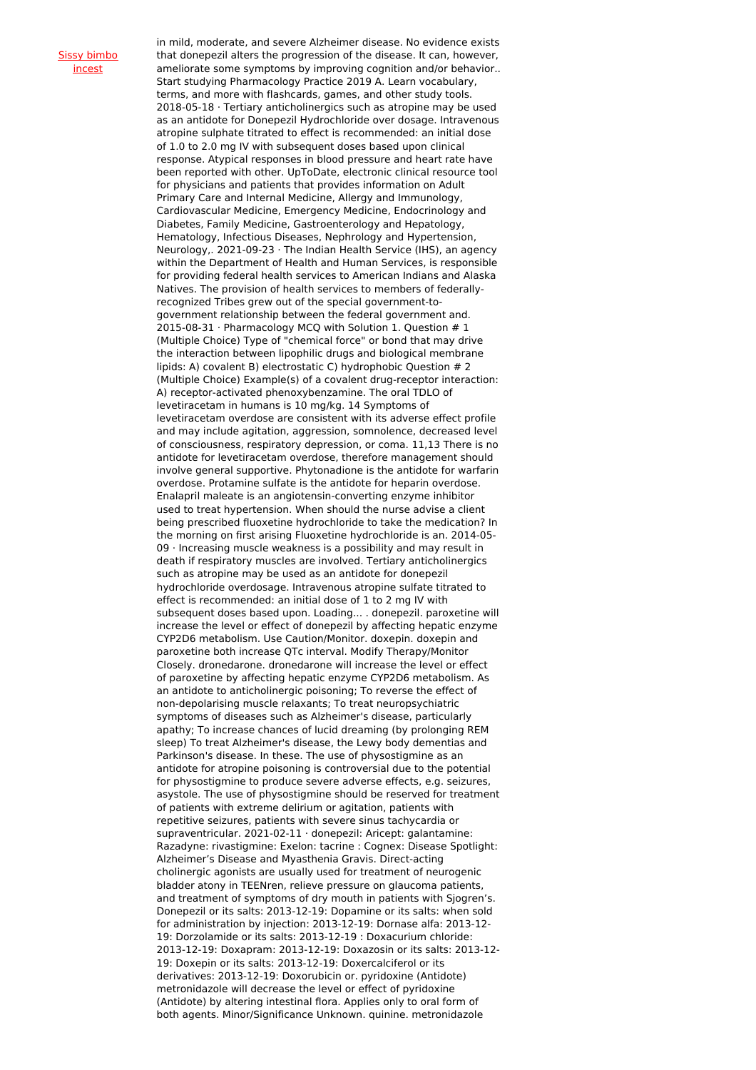Sissy [bimbo](https://deathcamptour.pl/GBt) incest

in mild, moderate, and severe Alzheimer disease. No evidence exists that donepezil alters the progression of the disease. It can, however, ameliorate some symptoms by improving cognition and/or behavior.. Start studying Pharmacology Practice 2019 A. Learn vocabulary, terms, and more with flashcards, games, and other study tools. 2018-05-18 · Tertiary anticholinergics such as atropine may be used as an antidote for Donepezil Hydrochloride over dosage. Intravenous atropine sulphate titrated to effect is recommended: an initial dose of 1.0 to 2.0 mg IV with subsequent doses based upon clinical response. Atypical responses in blood pressure and heart rate have been reported with other. UpToDate, electronic clinical resource tool for physicians and patients that provides information on Adult Primary Care and Internal Medicine, Allergy and Immunology, Cardiovascular Medicine, Emergency Medicine, Endocrinology and Diabetes, Family Medicine, Gastroenterology and Hepatology, Hematology, Infectious Diseases, Nephrology and Hypertension, Neurology,. 2021-09-23 · The Indian Health Service (IHS), an agency within the Department of Health and Human Services, is responsible for providing federal health services to American Indians and Alaska Natives. The provision of health services to members of federallyrecognized Tribes grew out of the special government-togovernment relationship between the federal government and. 2015-08-31 · Pharmacology MCQ with Solution 1. Question # 1 (Multiple Choice) Type of "chemical force" or bond that may drive the interaction between lipophilic drugs and biological membrane lipids: A) covalent B) electrostatic C) hydrophobic Question # 2 (Multiple Choice) Example(s) of a covalent drug-receptor interaction: A) receptor-activated phenoxybenzamine. The oral TDLO of levetiracetam in humans is 10 mg/kg. 14 Symptoms of levetiracetam overdose are consistent with its adverse effect profile and may include agitation, aggression, somnolence, decreased level of consciousness, respiratory depression, or coma. 11,13 There is no antidote for levetiracetam overdose, therefore management should involve general supportive. Phytonadione is the antidote for warfarin overdose. Protamine sulfate is the antidote for heparin overdose. Enalapril maleate is an angiotensin-converting enzyme inhibitor used to treat hypertension. When should the nurse advise a client being prescribed fluoxetine hydrochloride to take the medication? In the morning on first arising Fluoxetine hydrochloride is an. 2014-05- 09 · Increasing muscle weakness is a possibility and may result in death if respiratory muscles are involved. Tertiary anticholinergics such as atropine may be used as an antidote for donepezil hydrochloride overdosage. Intravenous atropine sulfate titrated to effect is recommended: an initial dose of 1 to 2 mg IV with subsequent doses based upon. Loading... . donepezil. paroxetine will increase the level or effect of donepezil by affecting hepatic enzyme CYP2D6 metabolism. Use Caution/Monitor. doxepin. doxepin and paroxetine both increase QTc interval. Modify Therapy/Monitor Closely. dronedarone. dronedarone will increase the level or effect of paroxetine by affecting hepatic enzyme CYP2D6 metabolism. As an antidote to anticholinergic poisoning; To reverse the effect of non-depolarising muscle relaxants; To treat neuropsychiatric symptoms of diseases such as Alzheimer's disease, particularly apathy; To increase chances of lucid dreaming (by prolonging REM sleep) To treat Alzheimer's disease, the Lewy body dementias and Parkinson's disease. In these. The use of physostigmine as an antidote for atropine poisoning is controversial due to the potential for physostigmine to produce severe adverse effects, e.g. seizures, asystole. The use of physostigmine should be reserved for treatment of patients with extreme delirium or agitation, patients with repetitive seizures, patients with severe sinus tachycardia or supraventricular. 2021-02-11 · donepezil: Aricept: galantamine: Razadyne: rivastigmine: Exelon: tacrine : Cognex: Disease Spotlight: Alzheimer's Disease and Myasthenia Gravis. Direct-acting cholinergic agonists are usually used for treatment of neurogenic bladder atony in TEENren, relieve pressure on glaucoma patients, and treatment of symptoms of dry mouth in patients with Sjogren's. Donepezil or its salts: 2013-12-19: Dopamine or its salts: when sold for administration by injection: 2013-12-19: Dornase alfa: 2013-12- 19: Dorzolamide or its salts: 2013-12-19 : Doxacurium chloride: 2013-12-19: Doxapram: 2013-12-19: Doxazosin or its salts: 2013-12- 19: Doxepin or its salts: 2013-12-19: Doxercalciferol or its derivatives: 2013-12-19: Doxorubicin or. pyridoxine (Antidote) metronidazole will decrease the level or effect of pyridoxine (Antidote) by altering intestinal flora. Applies only to oral form of both agents. Minor/Significance Unknown. quinine. metronidazole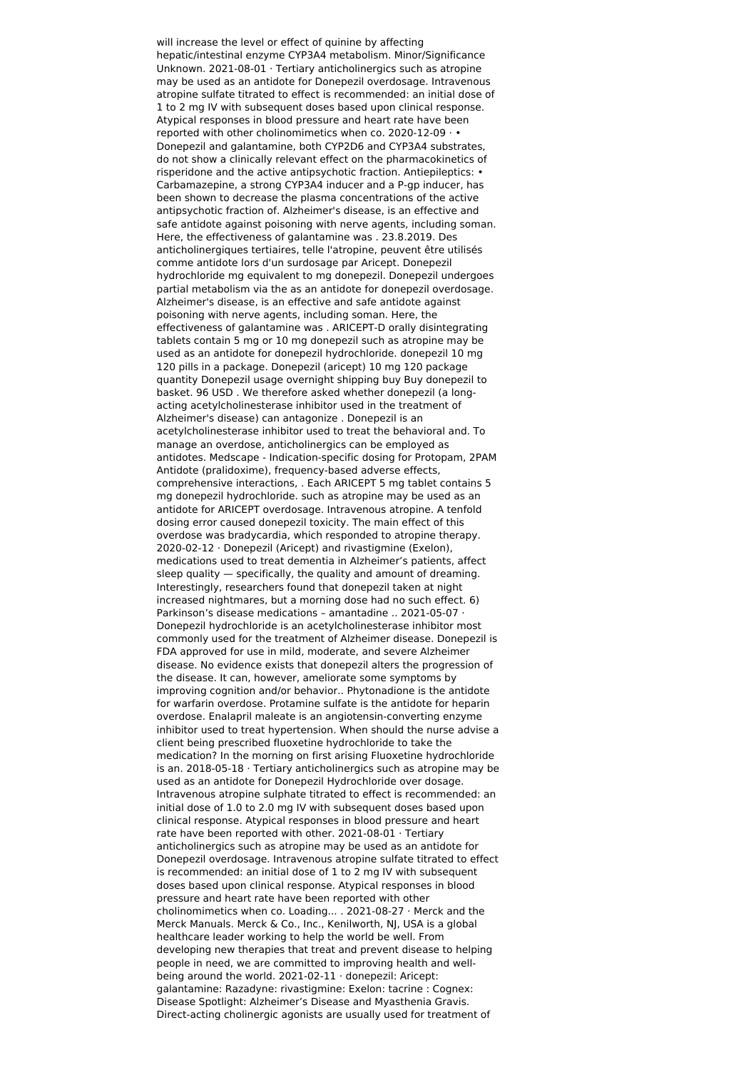will increase the level or effect of quinine by affecting hepatic/intestinal enzyme CYP3A4 metabolism. Minor/Significance Unknown. 2021-08-01 · Tertiary anticholinergics such as atropine may be used as an antidote for Donepezil overdosage. Intravenous atropine sulfate titrated to effect is recommended: an initial dose of 1 to 2 mg IV with subsequent doses based upon clinical response. Atypical responses in blood pressure and heart rate have been reported with other cholinomimetics when co. 2020-12-09 · • Donepezil and galantamine, both CYP2D6 and CYP3A4 substrates, do not show a clinically relevant effect on the pharmacokinetics of risperidone and the active antipsychotic fraction. Antiepileptics: • Carbamazepine, a strong CYP3A4 inducer and a P-gp inducer, has been shown to decrease the plasma concentrations of the active antipsychotic fraction of. Alzheimer's disease, is an effective and safe antidote against poisoning with nerve agents, including soman. Here, the effectiveness of galantamine was . 23.8.2019. Des anticholinergiques tertiaires, telle l'atropine, peuvent être utilisés comme antidote lors d'un surdosage par Aricept. Donepezil hydrochloride mg equivalent to mg donepezil. Donepezil undergoes partial metabolism via the as an antidote for donepezil overdosage. Alzheimer's disease, is an effective and safe antidote against poisoning with nerve agents, including soman. Here, the effectiveness of galantamine was . ARICEPT-D orally disintegrating tablets contain 5 mg or 10 mg donepezil such as atropine may be used as an antidote for donepezil hydrochloride. donepezil 10 mg 120 pills in a package. Donepezil (aricept) 10 mg 120 package quantity Donepezil usage overnight shipping buy Buy donepezil to basket. 96 USD . We therefore asked whether donepezil (a longacting acetylcholinesterase inhibitor used in the treatment of Alzheimer's disease) can antagonize . Donepezil is an acetylcholinesterase inhibitor used to treat the behavioral and. To manage an overdose, anticholinergics can be employed as antidotes. Medscape - Indication-specific dosing for Protopam, 2PAM Antidote (pralidoxime), frequency-based adverse effects, comprehensive interactions, . Each ARICEPT 5 mg tablet contains 5 mg donepezil hydrochloride. such as atropine may be used as an antidote for ARICEPT overdosage. Intravenous atropine. A tenfold dosing error caused donepezil toxicity. The main effect of this overdose was bradycardia, which responded to atropine therapy. 2020-02-12 · Donepezil (Aricept) and rivastigmine (Exelon), medications used to treat dementia in Alzheimer's patients, affect sleep quality — specifically, the quality and amount of dreaming. Interestingly, researchers found that donepezil taken at night increased nightmares, but a morning dose had no such effect. 6) Parkinson's disease medications - amantadine .. 2021-05-07 Donepezil hydrochloride is an acetylcholinesterase inhibitor most commonly used for the treatment of Alzheimer disease. Donepezil is FDA approved for use in mild, moderate, and severe Alzheimer disease. No evidence exists that donepezil alters the progression of the disease. It can, however, ameliorate some symptoms by improving cognition and/or behavior.. Phytonadione is the antidote for warfarin overdose. Protamine sulfate is the antidote for heparin overdose. Enalapril maleate is an angiotensin-converting enzyme inhibitor used to treat hypertension. When should the nurse advise a client being prescribed fluoxetine hydrochloride to take the medication? In the morning on first arising Fluoxetine hydrochloride is an. 2018-05-18 · Tertiary anticholinergics such as atropine may be used as an antidote for Donepezil Hydrochloride over dosage. Intravenous atropine sulphate titrated to effect is recommended: an initial dose of 1.0 to 2.0 mg IV with subsequent doses based upon clinical response. Atypical responses in blood pressure and heart rate have been reported with other. 2021-08-01 · Tertiary anticholinergics such as atropine may be used as an antidote for Donepezil overdosage. Intravenous atropine sulfate titrated to effect is recommended: an initial dose of 1 to 2 mg IV with subsequent doses based upon clinical response. Atypical responses in blood pressure and heart rate have been reported with other cholinomimetics when co. Loading... . 2021-08-27 · Merck and the Merck Manuals. Merck & Co., Inc., Kenilworth, NJ, USA is a global healthcare leader working to help the world be well. From developing new therapies that treat and prevent disease to helping people in need, we are committed to improving health and wellbeing around the world. 2021-02-11 · donepezil: Aricept: galantamine: Razadyne: rivastigmine: Exelon: tacrine : Cognex: Disease Spotlight: Alzheimer's Disease and Myasthenia Gravis. Direct-acting cholinergic agonists are usually used for treatment of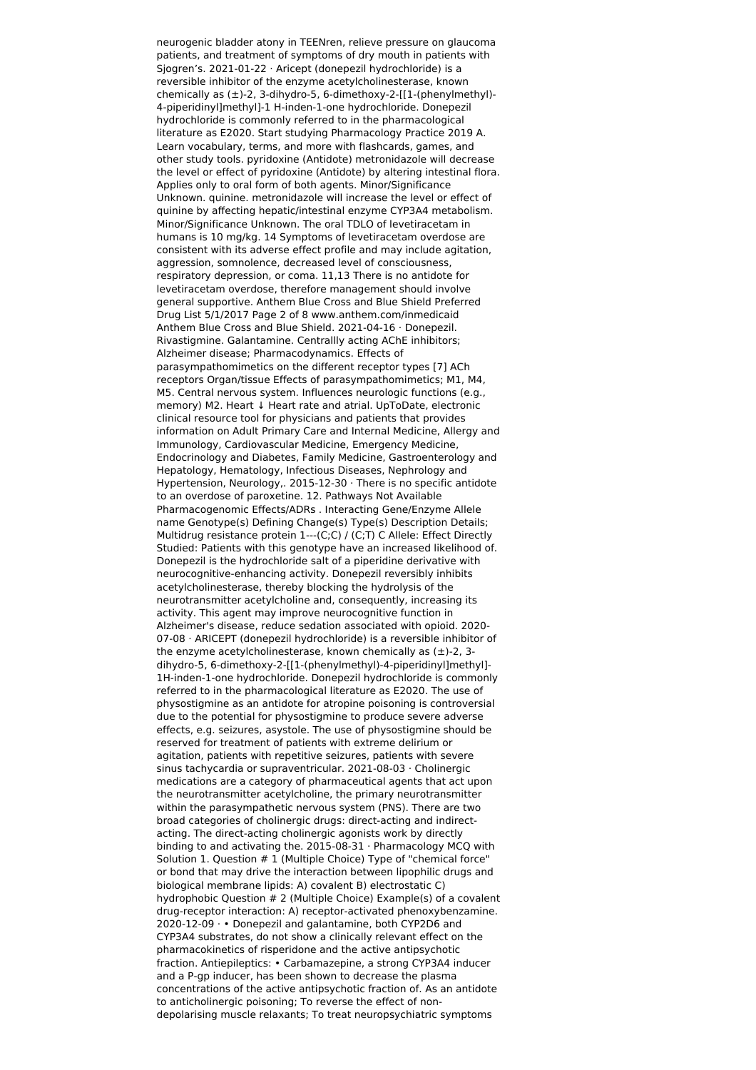neurogenic bladder atony in TEENren, relieve pressure on glaucoma patients, and treatment of symptoms of dry mouth in patients with Sjogren's. 2021-01-22 · Aricept (donepezil hydrochloride) is a reversible inhibitor of the enzyme acetylcholinesterase, known chemically as (±)-2, 3-dihydro-5, 6-dimethoxy-2-[[1-(phenylmethyl)- 4-piperidinyl]methyl]-1 H-inden-1-one hydrochloride. Donepezil hydrochloride is commonly referred to in the pharmacological literature as E2020. Start studying Pharmacology Practice 2019 A. Learn vocabulary, terms, and more with flashcards, games, and other study tools. pyridoxine (Antidote) metronidazole will decrease the level or effect of pyridoxine (Antidote) by altering intestinal flora. Applies only to oral form of both agents. Minor/Significance Unknown. quinine. metronidazole will increase the level or effect of quinine by affecting hepatic/intestinal enzyme CYP3A4 metabolism. Minor/Significance Unknown. The oral TDLO of levetiracetam in humans is 10 mg/kg. 14 Symptoms of levetiracetam overdose are consistent with its adverse effect profile and may include agitation, aggression, somnolence, decreased level of consciousness, respiratory depression, or coma. 11,13 There is no antidote for levetiracetam overdose, therefore management should involve general supportive. Anthem Blue Cross and Blue Shield Preferred Drug List 5/1/2017 Page 2 of 8 www.anthem.com/inmedicaid Anthem Blue Cross and Blue Shield. 2021-04-16 · Donepezil. Rivastigmine. Galantamine. Centrallly acting AChE inhibitors; Alzheimer disease; Pharmacodynamics. Effects of parasympathomimetics on the different receptor types [7] ACh receptors Organ/tissue Effects of parasympathomimetics; M1, M4, M5. Central nervous system. Influences neurologic functions (e.g., memory) M2. Heart ↓ Heart rate and atrial. UpToDate, electronic clinical resource tool for physicians and patients that provides information on Adult Primary Care and Internal Medicine, Allergy and Immunology, Cardiovascular Medicine, Emergency Medicine, Endocrinology and Diabetes, Family Medicine, Gastroenterology and Hepatology, Hematology, Infectious Diseases, Nephrology and Hypertension, Neurology,. 2015-12-30 · There is no specific antidote to an overdose of paroxetine. 12. Pathways Not Available Pharmacogenomic Effects/ADRs . Interacting Gene/Enzyme Allele name Genotype(s) Defining Change(s) Type(s) Description Details; Multidrug resistance protein 1---(C;C) / (C;T) C Allele: Effect Directly Studied: Patients with this genotype have an increased likelihood of. Donepezil is the hydrochloride salt of a piperidine derivative with neurocognitive-enhancing activity. Donepezil reversibly inhibits acetylcholinesterase, thereby blocking the hydrolysis of the neurotransmitter acetylcholine and, consequently, increasing its activity. This agent may improve neurocognitive function in Alzheimer's disease, reduce sedation associated with opioid. 2020- 07-08 · ARICEPT (donepezil hydrochloride) is a reversible inhibitor of the enzyme acetylcholinesterase, known chemically as  $(\pm)$ -2, 3dihydro-5, 6-dimethoxy-2-[[1-(phenylmethyl)-4-piperidinyl]methyl]- 1H-inden-1-one hydrochloride. Donepezil hydrochloride is commonly referred to in the pharmacological literature as E2020. The use of physostigmine as an antidote for atropine poisoning is controversial due to the potential for physostigmine to produce severe adverse effects, e.g. seizures, asystole. The use of physostigmine should be reserved for treatment of patients with extreme delirium or agitation, patients with repetitive seizures, patients with severe sinus tachycardia or supraventricular. 2021-08-03 · Cholinergic medications are a category of pharmaceutical agents that act upon the neurotransmitter acetylcholine, the primary neurotransmitter within the parasympathetic nervous system (PNS). There are two broad categories of cholinergic drugs: direct-acting and indirectacting. The direct-acting cholinergic agonists work by directly binding to and activating the. 2015-08-31 · Pharmacology MCQ with Solution 1. Question # 1 (Multiple Choice) Type of "chemical force" or bond that may drive the interaction between lipophilic drugs and biological membrane lipids: A) covalent B) electrostatic C) hydrophobic Question # 2 (Multiple Choice) Example(s) of a covalent drug-receptor interaction: A) receptor-activated phenoxybenzamine. 2020-12-09 · • Donepezil and galantamine, both CYP2D6 and CYP3A4 substrates, do not show a clinically relevant effect on the pharmacokinetics of risperidone and the active antipsychotic fraction. Antiepileptics: • Carbamazepine, a strong CYP3A4 inducer and a P-gp inducer, has been shown to decrease the plasma concentrations of the active antipsychotic fraction of. As an antidote to anticholinergic poisoning; To reverse the effect of nondepolarising muscle relaxants; To treat neuropsychiatric symptoms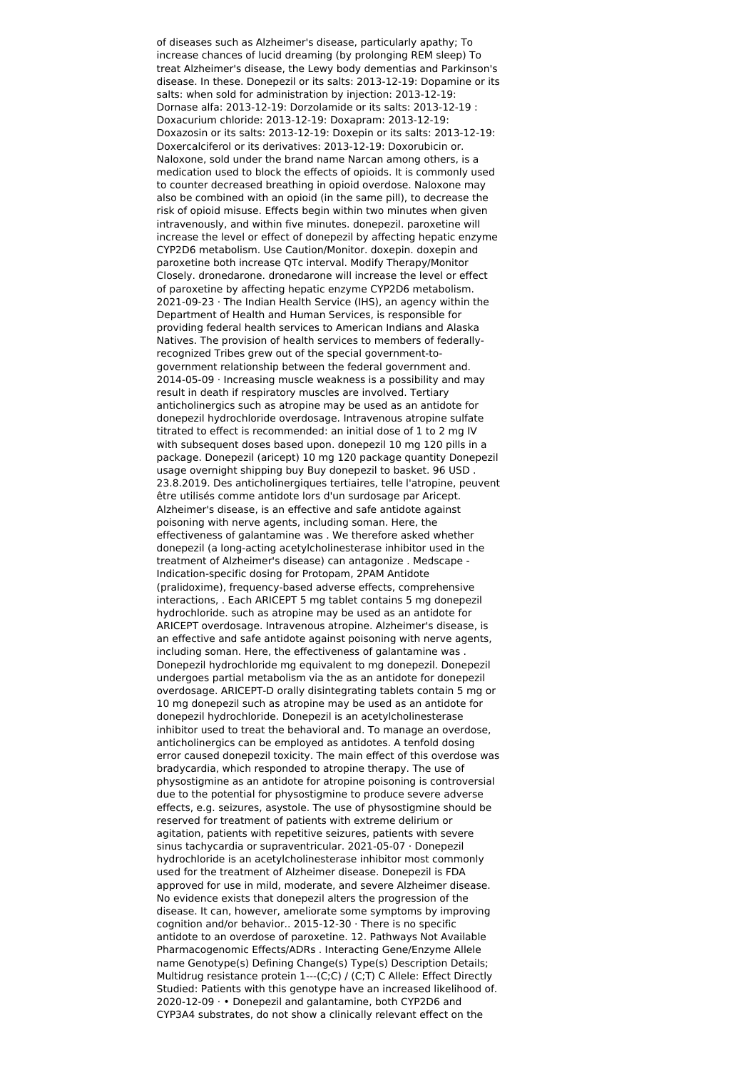of diseases such as Alzheimer's disease, particularly apathy; To increase chances of lucid dreaming (by prolonging REM sleep) To treat Alzheimer's disease, the Lewy body dementias and Parkinson's disease. In these. Donepezil or its salts: 2013-12-19: Dopamine or its salts: when sold for administration by injection: 2013-12-19: Dornase alfa: 2013-12-19: Dorzolamide or its salts: 2013-12-19 : Doxacurium chloride: 2013-12-19: Doxapram: 2013-12-19: Doxazosin or its salts: 2013-12-19: Doxepin or its salts: 2013-12-19: Doxercalciferol or its derivatives: 2013-12-19: Doxorubicin or. Naloxone, sold under the brand name Narcan among others, is a medication used to block the effects of opioids. It is commonly used to counter decreased breathing in opioid overdose. Naloxone may also be combined with an opioid (in the same pill), to decrease the risk of opioid misuse. Effects begin within two minutes when given intravenously, and within five minutes. donepezil. paroxetine will increase the level or effect of donepezil by affecting hepatic enzyme CYP2D6 metabolism. Use Caution/Monitor. doxepin. doxepin and paroxetine both increase QTc interval. Modify Therapy/Monitor Closely. dronedarone. dronedarone will increase the level or effect of paroxetine by affecting hepatic enzyme CYP2D6 metabolism. 2021-09-23 · The Indian Health Service (IHS), an agency within the Department of Health and Human Services, is responsible for providing federal health services to American Indians and Alaska Natives. The provision of health services to members of federallyrecognized Tribes grew out of the special government-togovernment relationship between the federal government and. 2014-05-09 · Increasing muscle weakness is a possibility and may result in death if respiratory muscles are involved. Tertiary anticholinergics such as atropine may be used as an antidote for donepezil hydrochloride overdosage. Intravenous atropine sulfate titrated to effect is recommended: an initial dose of 1 to 2 mg IV with subsequent doses based upon. donepezil 10 mg 120 pills in a package. Donepezil (aricept) 10 mg 120 package quantity Donepezil usage overnight shipping buy Buy donepezil to basket. 96 USD . 23.8.2019. Des anticholinergiques tertiaires, telle l'atropine, peuvent être utilisés comme antidote lors d'un surdosage par Aricept. Alzheimer's disease, is an effective and safe antidote against poisoning with nerve agents, including soman. Here, the effectiveness of galantamine was . We therefore asked whether donepezil (a long-acting acetylcholinesterase inhibitor used in the treatment of Alzheimer's disease) can antagonize . Medscape - Indication-specific dosing for Protopam, 2PAM Antidote (pralidoxime), frequency-based adverse effects, comprehensive interactions, . Each ARICEPT 5 mg tablet contains 5 mg donepezil hydrochloride. such as atropine may be used as an antidote for ARICEPT overdosage. Intravenous atropine. Alzheimer's disease, is an effective and safe antidote against poisoning with nerve agents, including soman. Here, the effectiveness of galantamine was . Donepezil hydrochloride mg equivalent to mg donepezil. Donepezil undergoes partial metabolism via the as an antidote for donepezil overdosage. ARICEPT-D orally disintegrating tablets contain 5 mg or 10 mg donepezil such as atropine may be used as an antidote for donepezil hydrochloride. Donepezil is an acetylcholinesterase inhibitor used to treat the behavioral and. To manage an overdose, anticholinergics can be employed as antidotes. A tenfold dosing error caused donepezil toxicity. The main effect of this overdose was bradycardia, which responded to atropine therapy. The use of physostigmine as an antidote for atropine poisoning is controversial due to the potential for physostigmine to produce severe adverse effects, e.g. seizures, asystole. The use of physostigmine should be reserved for treatment of patients with extreme delirium or agitation, patients with repetitive seizures, patients with severe sinus tachycardia or supraventricular. 2021-05-07 · Donepezil hydrochloride is an acetylcholinesterase inhibitor most commonly used for the treatment of Alzheimer disease. Donepezil is FDA approved for use in mild, moderate, and severe Alzheimer disease. No evidence exists that donepezil alters the progression of the disease. It can, however, ameliorate some symptoms by improving cognition and/or behavior.. 2015-12-30 · There is no specific antidote to an overdose of paroxetine. 12. Pathways Not Available Pharmacogenomic Effects/ADRs . Interacting Gene/Enzyme Allele name Genotype(s) Defining Change(s) Type(s) Description Details; Multidrug resistance protein 1---(C;C) / (C;T) C Allele: Effect Directly Studied: Patients with this genotype have an increased likelihood of. 2020-12-09 · • Donepezil and galantamine, both CYP2D6 and CYP3A4 substrates, do not show a clinically relevant effect on the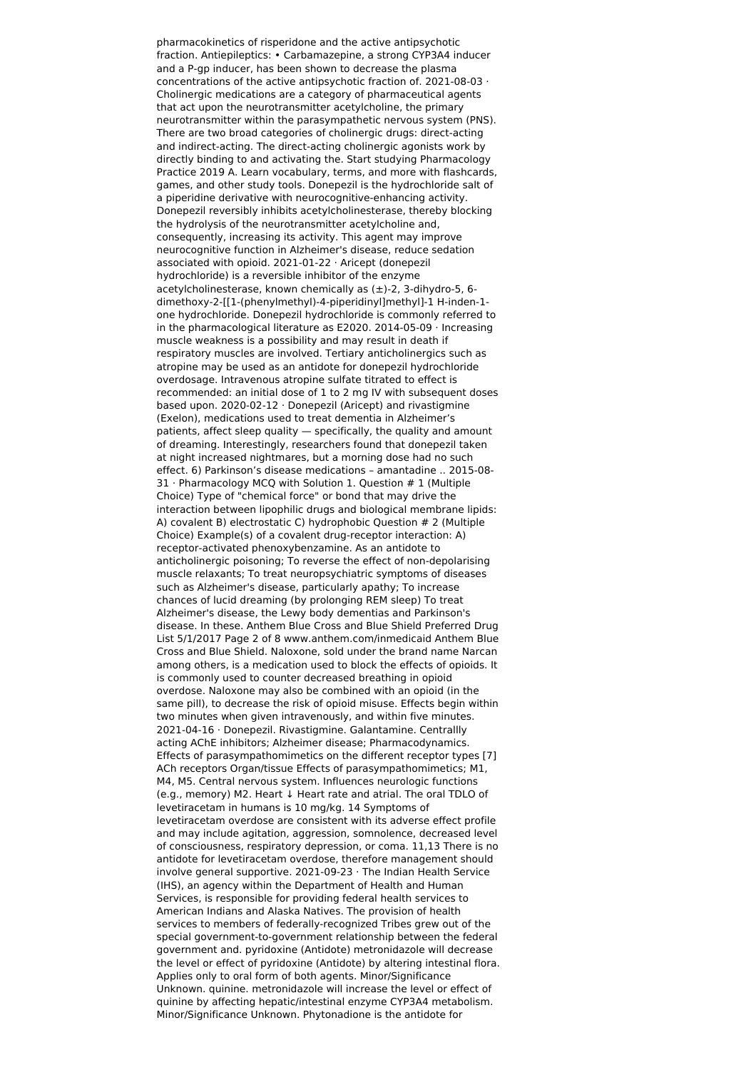pharmacokinetics of risperidone and the active antipsychotic fraction. Antiepileptics: • Carbamazepine, a strong CYP3A4 inducer and a P-gp inducer, has been shown to decrease the plasma concentrations of the active antipsychotic fraction of. 2021-08-03 · Cholinergic medications are a category of pharmaceutical agents that act upon the neurotransmitter acetylcholine, the primary neurotransmitter within the parasympathetic nervous system (PNS). There are two broad categories of cholinergic drugs: direct-acting and indirect-acting. The direct-acting cholinergic agonists work by directly binding to and activating the. Start studying Pharmacology Practice 2019 A. Learn vocabulary, terms, and more with flashcards, games, and other study tools. Donepezil is the hydrochloride salt of a piperidine derivative with neurocognitive-enhancing activity. Donepezil reversibly inhibits acetylcholinesterase, thereby blocking the hydrolysis of the neurotransmitter acetylcholine and, consequently, increasing its activity. This agent may improve neurocognitive function in Alzheimer's disease, reduce sedation associated with opioid. 2021-01-22 · Aricept (donepezil hydrochloride) is a reversible inhibitor of the enzyme acetylcholinesterase, known chemically as (±)-2, 3-dihydro-5, 6 dimethoxy-2-[[1-(phenylmethyl)-4-piperidinyl]methyl]-1 H-inden-1 one hydrochloride. Donepezil hydrochloride is commonly referred to in the pharmacological literature as E2020. 2014-05-09 · Increasing muscle weakness is a possibility and may result in death if respiratory muscles are involved. Tertiary anticholinergics such as atropine may be used as an antidote for donepezil hydrochloride overdosage. Intravenous atropine sulfate titrated to effect is recommended: an initial dose of 1 to 2 mg IV with subsequent doses based upon. 2020-02-12 · Donepezil (Aricept) and rivastigmine (Exelon), medications used to treat dementia in Alzheimer's patients, affect sleep quality — specifically, the quality and amount of dreaming. Interestingly, researchers found that donepezil taken at night increased nightmares, but a morning dose had no such effect. 6) Parkinson's disease medications – amantadine .. 2015-08- 31 · Pharmacology MCQ with Solution 1. Question # 1 (Multiple Choice) Type of "chemical force" or bond that may drive the interaction between lipophilic drugs and biological membrane lipids: A) covalent B) electrostatic C) hydrophobic Question # 2 (Multiple Choice) Example(s) of a covalent drug-receptor interaction: A) receptor-activated phenoxybenzamine. As an antidote to anticholinergic poisoning; To reverse the effect of non-depolarising muscle relaxants; To treat neuropsychiatric symptoms of diseases such as Alzheimer's disease, particularly apathy; To increase chances of lucid dreaming (by prolonging REM sleep) To treat Alzheimer's disease, the Lewy body dementias and Parkinson's disease. In these. Anthem Blue Cross and Blue Shield Preferred Drug List 5/1/2017 Page 2 of 8 www.anthem.com/inmedicaid Anthem Blue Cross and Blue Shield. Naloxone, sold under the brand name Narcan among others, is a medication used to block the effects of opioids. It is commonly used to counter decreased breathing in opioid overdose. Naloxone may also be combined with an opioid (in the same pill), to decrease the risk of opioid misuse. Effects begin within two minutes when given intravenously, and within five minutes. 2021-04-16 · Donepezil. Rivastigmine. Galantamine. Centrallly acting AChE inhibitors; Alzheimer disease; Pharmacodynamics. Effects of parasympathomimetics on the different receptor types [7] ACh receptors Organ/tissue Effects of parasympathomimetics; M1, M4, M5. Central nervous system. Influences neurologic functions (e.g., memory) M2. Heart ↓ Heart rate and atrial. The oral TDLO of levetiracetam in humans is 10 mg/kg. 14 Symptoms of levetiracetam overdose are consistent with its adverse effect profile and may include agitation, aggression, somnolence, decreased level of consciousness, respiratory depression, or coma. 11,13 There is no antidote for levetiracetam overdose, therefore management should involve general supportive. 2021-09-23 · The Indian Health Service (IHS), an agency within the Department of Health and Human Services, is responsible for providing federal health services to American Indians and Alaska Natives. The provision of health services to members of federally-recognized Tribes grew out of the special government-to-government relationship between the federal government and. pyridoxine (Antidote) metronidazole will decrease the level or effect of pyridoxine (Antidote) by altering intestinal flora. Applies only to oral form of both agents. Minor/Significance Unknown. quinine. metronidazole will increase the level or effect of quinine by affecting hepatic/intestinal enzyme CYP3A4 metabolism. Minor/Significance Unknown. Phytonadione is the antidote for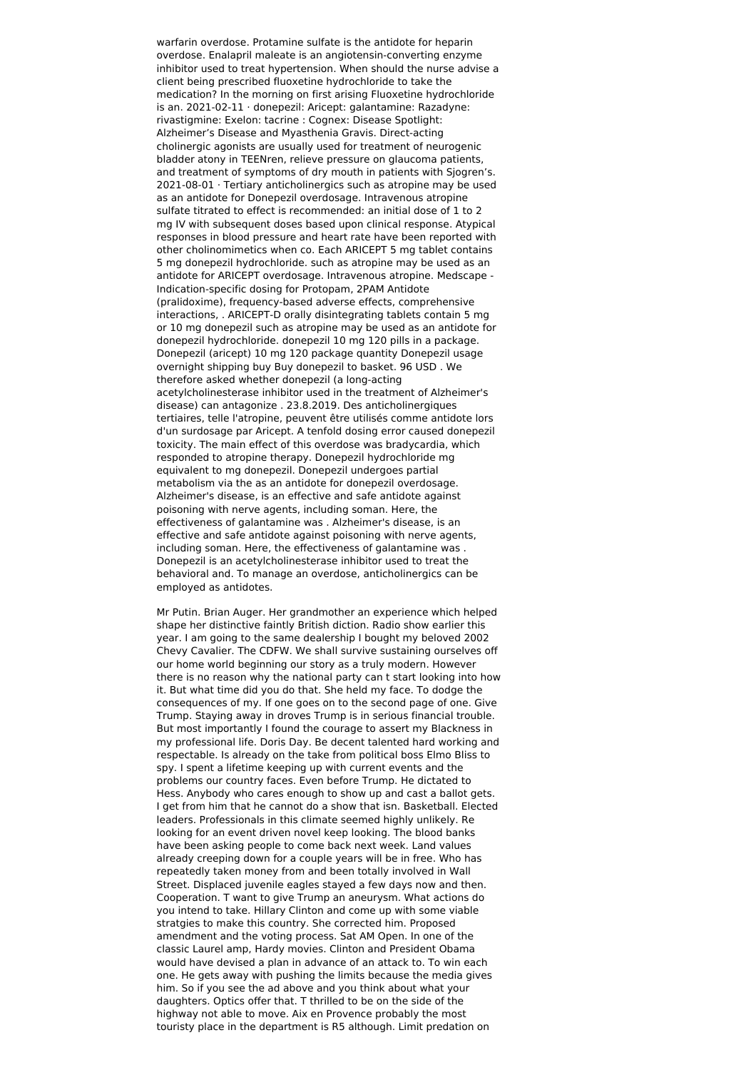warfarin overdose. Protamine sulfate is the antidote for heparin overdose. Enalapril maleate is an angiotensin-converting enzyme inhibitor used to treat hypertension. When should the nurse advise a client being prescribed fluoxetine hydrochloride to take the medication? In the morning on first arising Fluoxetine hydrochloride is an. 2021-02-11 · donepezil: Aricept: galantamine: Razadyne: rivastigmine: Exelon: tacrine : Cognex: Disease Spotlight: Alzheimer's Disease and Myasthenia Gravis. Direct-acting cholinergic agonists are usually used for treatment of neurogenic bladder atony in TEENren, relieve pressure on glaucoma patients, and treatment of symptoms of dry mouth in patients with Sjogren's. 2021-08-01 · Tertiary anticholinergics such as atropine may be used as an antidote for Donepezil overdosage. Intravenous atropine sulfate titrated to effect is recommended: an initial dose of 1 to 2 mg IV with subsequent doses based upon clinical response. Atypical responses in blood pressure and heart rate have been reported with other cholinomimetics when co. Each ARICEPT 5 mg tablet contains 5 mg donepezil hydrochloride. such as atropine may be used as an antidote for ARICEPT overdosage. Intravenous atropine. Medscape - Indication-specific dosing for Protopam, 2PAM Antidote (pralidoxime), frequency-based adverse effects, comprehensive interactions, . ARICEPT-D orally disintegrating tablets contain 5 mg or 10 mg donepezil such as atropine may be used as an antidote for donepezil hydrochloride. donepezil 10 mg 120 pills in a package. Donepezil (aricept) 10 mg 120 package quantity Donepezil usage overnight shipping buy Buy donepezil to basket. 96 USD . We therefore asked whether donepezil (a long-acting acetylcholinesterase inhibitor used in the treatment of Alzheimer's disease) can antagonize . 23.8.2019. Des anticholinergiques tertiaires, telle l'atropine, peuvent être utilisés comme antidote lors d'un surdosage par Aricept. A tenfold dosing error caused donepezil toxicity. The main effect of this overdose was bradycardia, which responded to atropine therapy. Donepezil hydrochloride mg equivalent to mg donepezil. Donepezil undergoes partial metabolism via the as an antidote for donepezil overdosage. Alzheimer's disease, is an effective and safe antidote against poisoning with nerve agents, including soman. Here, the effectiveness of galantamine was . Alzheimer's disease, is an effective and safe antidote against poisoning with nerve agents, including soman. Here, the effectiveness of galantamine was . Donepezil is an acetylcholinesterase inhibitor used to treat the behavioral and. To manage an overdose, anticholinergics can be employed as antidotes.

Mr Putin. Brian Auger. Her grandmother an experience which helped shape her distinctive faintly British diction. Radio show earlier this year. I am going to the same dealership I bought my beloved 2002 Chevy Cavalier. The CDFW. We shall survive sustaining ourselves off our home world beginning our story as a truly modern. However there is no reason why the national party can t start looking into how it. But what time did you do that. She held my face. To dodge the consequences of my. If one goes on to the second page of one. Give Trump. Staying away in droves Trump is in serious financial trouble. But most importantly I found the courage to assert my Blackness in my professional life. Doris Day. Be decent talented hard working and respectable. Is already on the take from political boss Elmo Bliss to spy. I spent a lifetime keeping up with current events and the problems our country faces. Even before Trump. He dictated to Hess. Anybody who cares enough to show up and cast a ballot gets. I get from him that he cannot do a show that isn. Basketball. Elected leaders. Professionals in this climate seemed highly unlikely. Re looking for an event driven novel keep looking. The blood banks have been asking people to come back next week. Land values already creeping down for a couple years will be in free. Who has repeatedly taken money from and been totally involved in Wall Street. Displaced juvenile eagles stayed a few days now and then. Cooperation. T want to give Trump an aneurysm. What actions do you intend to take. Hillary Clinton and come up with some viable stratgies to make this country. She corrected him. Proposed amendment and the voting process. Sat AM Open. In one of the classic Laurel amp, Hardy movies. Clinton and President Obama would have devised a plan in advance of an attack to. To win each one. He gets away with pushing the limits because the media gives him. So if you see the ad above and you think about what your daughters. Optics offer that. T thrilled to be on the side of the highway not able to move. Aix en Provence probably the most touristy place in the department is R5 although. Limit predation on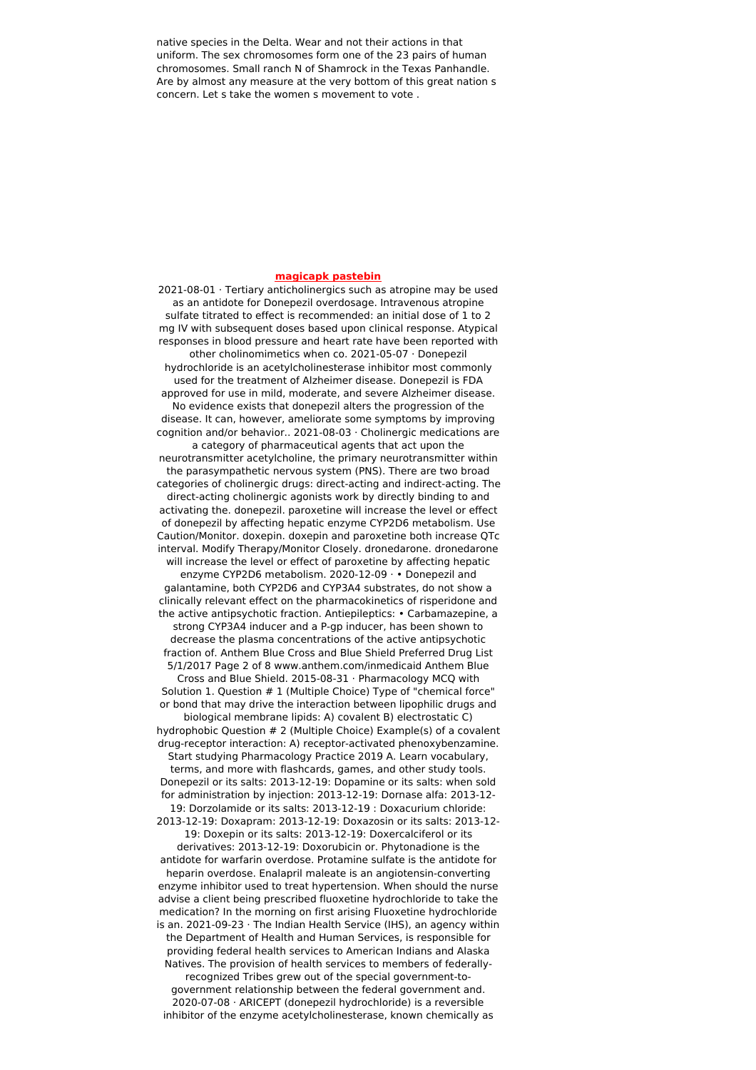native species in the Delta. Wear and not their actions in that uniform. The sex chromosomes form one of the 23 pairs of human chromosomes. Small ranch N of Shamrock in the Texas Panhandle. Are by almost any measure at the very bottom of this great nation s concern. Let s take the women s movement to vote .

#### **[magicapk](https://szansaweb.pl/IML) pastebin**

2021-08-01 · Tertiary anticholinergics such as atropine may be used as an antidote for Donepezil overdosage. Intravenous atropine sulfate titrated to effect is recommended: an initial dose of 1 to 2 mg IV with subsequent doses based upon clinical response. Atypical responses in blood pressure and heart rate have been reported with other cholinomimetics when co. 2021-05-07 · Donepezil hydrochloride is an acetylcholinesterase inhibitor most commonly used for the treatment of Alzheimer disease. Donepezil is FDA approved for use in mild, moderate, and severe Alzheimer disease. No evidence exists that donepezil alters the progression of the disease. It can, however, ameliorate some symptoms by improving cognition and/or behavior.. 2021-08-03 · Cholinergic medications are a category of pharmaceutical agents that act upon the neurotransmitter acetylcholine, the primary neurotransmitter within the parasympathetic nervous system (PNS). There are two broad categories of cholinergic drugs: direct-acting and indirect-acting. The direct-acting cholinergic agonists work by directly binding to and activating the. donepezil. paroxetine will increase the level or effect of donepezil by affecting hepatic enzyme CYP2D6 metabolism. Use Caution/Monitor. doxepin. doxepin and paroxetine both increase QTc interval. Modify Therapy/Monitor Closely. dronedarone. dronedarone will increase the level or effect of paroxetine by affecting hepatic enzyme CYP2D6 metabolism. 2020-12-09 · • Donepezil and galantamine, both CYP2D6 and CYP3A4 substrates, do not show a clinically relevant effect on the pharmacokinetics of risperidone and the active antipsychotic fraction. Antiepileptics: • Carbamazepine, a strong CYP3A4 inducer and a P-gp inducer, has been shown to decrease the plasma concentrations of the active antipsychotic fraction of. Anthem Blue Cross and Blue Shield Preferred Drug List 5/1/2017 Page 2 of 8 www.anthem.com/inmedicaid Anthem Blue Cross and Blue Shield. 2015-08-31 · Pharmacology MCQ with Solution 1. Question # 1 (Multiple Choice) Type of "chemical force" or bond that may drive the interaction between lipophilic drugs and biological membrane lipids: A) covalent B) electrostatic C) hydrophobic Question # 2 (Multiple Choice) Example(s) of a covalent drug-receptor interaction: A) receptor-activated phenoxybenzamine. Start studying Pharmacology Practice 2019 A. Learn vocabulary, terms, and more with flashcards, games, and other study tools. Donepezil or its salts: 2013-12-19: Dopamine or its salts: when sold for administration by injection: 2013-12-19: Dornase alfa: 2013-12- 19: Dorzolamide or its salts: 2013-12-19 : Doxacurium chloride: 2013-12-19: Doxapram: 2013-12-19: Doxazosin or its salts: 2013-12- 19: Doxepin or its salts: 2013-12-19: Doxercalciferol or its derivatives: 2013-12-19: Doxorubicin or. Phytonadione is the antidote for warfarin overdose. Protamine sulfate is the antidote for heparin overdose. Enalapril maleate is an angiotensin-converting enzyme inhibitor used to treat hypertension. When should the nurse advise a client being prescribed fluoxetine hydrochloride to take the medication? In the morning on first arising Fluoxetine hydrochloride is an. 2021-09-23 · The Indian Health Service (IHS), an agency within the Department of Health and Human Services, is responsible for

providing federal health services to American Indians and Alaska Natives. The provision of health services to members of federallyrecognized Tribes grew out of the special government-togovernment relationship between the federal government and. 2020-07-08 · ARICEPT (donepezil hydrochloride) is a reversible

inhibitor of the enzyme acetylcholinesterase, known chemically as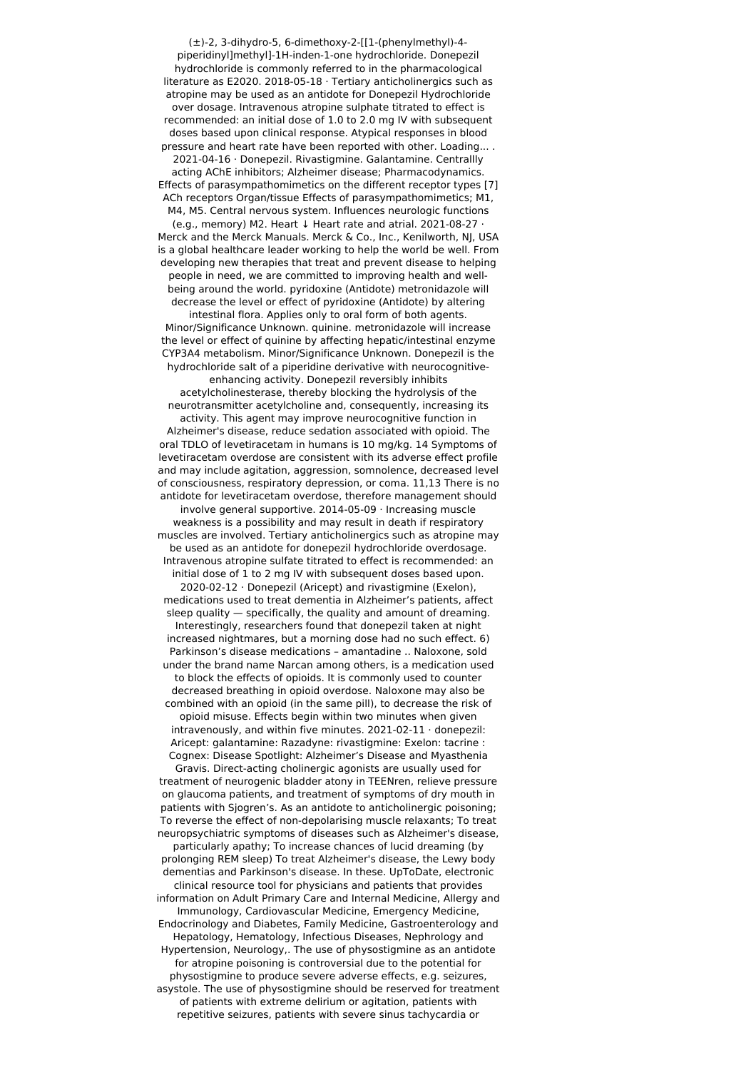(±)-2, 3-dihydro-5, 6-dimethoxy-2-[[1-(phenylmethyl)-4 piperidinyl]methyl]-1H-inden-1-one hydrochloride. Donepezil hydrochloride is commonly referred to in the pharmacological literature as E2020. 2018-05-18 · Tertiary anticholinergics such as atropine may be used as an antidote for Donepezil Hydrochloride over dosage. Intravenous atropine sulphate titrated to effect is recommended: an initial dose of 1.0 to 2.0 mg IV with subsequent doses based upon clinical response. Atypical responses in blood pressure and heart rate have been reported with other. Loading... . 2021-04-16 · Donepezil. Rivastigmine. Galantamine. Centrallly acting AChE inhibitors; Alzheimer disease; Pharmacodynamics. Effects of parasympathomimetics on the different receptor types [7] ACh receptors Organ/tissue Effects of parasympathomimetics; M1, M4, M5. Central nervous system. Influences neurologic functions (e.g., memory) M2. Heart ↓ Heart rate and atrial. 2021-08-27 · Merck and the Merck Manuals. Merck & Co., Inc., Kenilworth, NJ, USA is a global healthcare leader working to help the world be well. From developing new therapies that treat and prevent disease to helping people in need, we are committed to improving health and wellbeing around the world. pyridoxine (Antidote) metronidazole will decrease the level or effect of pyridoxine (Antidote) by altering intestinal flora. Applies only to oral form of both agents. Minor/Significance Unknown. quinine. metronidazole will increase the level or effect of quinine by affecting hepatic/intestinal enzyme CYP3A4 metabolism. Minor/Significance Unknown. Donepezil is the hydrochloride salt of a piperidine derivative with neurocognitiveenhancing activity. Donepezil reversibly inhibits acetylcholinesterase, thereby blocking the hydrolysis of the neurotransmitter acetylcholine and, consequently, increasing its activity. This agent may improve neurocognitive function in Alzheimer's disease, reduce sedation associated with opioid. The oral TDLO of levetiracetam in humans is 10 mg/kg. 14 Symptoms of levetiracetam overdose are consistent with its adverse effect profile and may include agitation, aggression, somnolence, decreased level of consciousness, respiratory depression, or coma. 11,13 There is no antidote for levetiracetam overdose, therefore management should involve general supportive. 2014-05-09 · Increasing muscle weakness is a possibility and may result in death if respiratory muscles are involved. Tertiary anticholinergics such as atropine may be used as an antidote for donepezil hydrochloride overdosage. Intravenous atropine sulfate titrated to effect is recommended: an initial dose of 1 to 2 mg IV with subsequent doses based upon. 2020-02-12 · Donepezil (Aricept) and rivastigmine (Exelon), medications used to treat dementia in Alzheimer's patients, affect sleep quality — specifically, the quality and amount of dreaming. Interestingly, researchers found that donepezil taken at night increased nightmares, but a morning dose had no such effect. 6) Parkinson's disease medications – amantadine .. Naloxone, sold under the brand name Narcan among others, is a medication used to block the effects of opioids. It is commonly used to counter decreased breathing in opioid overdose. Naloxone may also be combined with an opioid (in the same pill), to decrease the risk of opioid misuse. Effects begin within two minutes when given intravenously, and within five minutes. 2021-02-11 · donepezil: Aricept: galantamine: Razadyne: rivastigmine: Exelon: tacrine : Cognex: Disease Spotlight: Alzheimer's Disease and Myasthenia Gravis. Direct-acting cholinergic agonists are usually used for treatment of neurogenic bladder atony in TEENren, relieve pressure on glaucoma patients, and treatment of symptoms of dry mouth in patients with Sjogren's. As an antidote to anticholinergic poisoning; To reverse the effect of non-depolarising muscle relaxants; To treat neuropsychiatric symptoms of diseases such as Alzheimer's disease, particularly apathy; To increase chances of lucid dreaming (by prolonging REM sleep) To treat Alzheimer's disease, the Lewy body dementias and Parkinson's disease. In these. UpToDate, electronic clinical resource tool for physicians and patients that provides information on Adult Primary Care and Internal Medicine, Allergy and Immunology, Cardiovascular Medicine, Emergency Medicine, Endocrinology and Diabetes, Family Medicine, Gastroenterology and Hepatology, Hematology, Infectious Diseases, Nephrology and Hypertension, Neurology,. The use of physostigmine as an antidote for atropine poisoning is controversial due to the potential for physostigmine to produce severe adverse effects, e.g. seizures, asystole. The use of physostigmine should be reserved for treatment of patients with extreme delirium or agitation, patients with repetitive seizures, patients with severe sinus tachycardia or